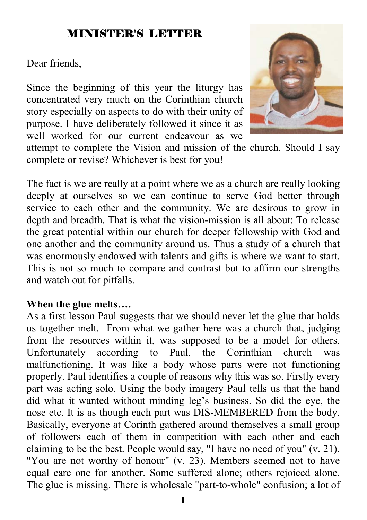### MINISTER'S LETTER

Dear friends,

Since the beginning of this year the liturgy has concentrated very much on the Corinthian church story especially on aspects to do with their unity of purpose. I have deliberately followed it since it as well worked for our current endeavour as we



attempt to complete the Vision and mission of the church. Should I say complete or revise? Whichever is best for you!

The fact is we are really at a point where we as a church are really looking deeply at ourselves so we can continue to serve God better through service to each other and the community. We are desirous to grow in depth and breadth. That is what the vision-mission is all about: To release the great potential within our church for deeper fellowship with God and one another and the community around us. Thus a study of a church that was enormously endowed with talents and gifts is where we want to start. This is not so much to compare and contrast but to affirm our strengths and watch out for pitfalls.

#### **When the glue melts….**

As a first lesson Paul suggests that we should never let the glue that holds us together melt. From what we gather here was a church that, judging from the resources within it, was supposed to be a model for others. Unfortunately according to Paul, the Corinthian church was malfunctioning. It was like a body whose parts were not functioning properly. Paul identifies a couple of reasons why this was so. Firstly every part was acting solo. Using the body imagery Paul tells us that the hand did what it wanted without minding leg's business. So did the eye, the nose etc. It is as though each part was DIS-MEMBERED from the body. Basically, everyone at Corinth gathered around themselves a small group of followers each of them in competition with each other and each claiming to be the best. People would say, "I have no need of you" (v. 21). "You are not worthy of honour" (v. 23). Members seemed not to have equal care one for another. Some suffered alone; others rejoiced alone. The glue is missing. There is wholesale "part-to-whole" confusion; a lot of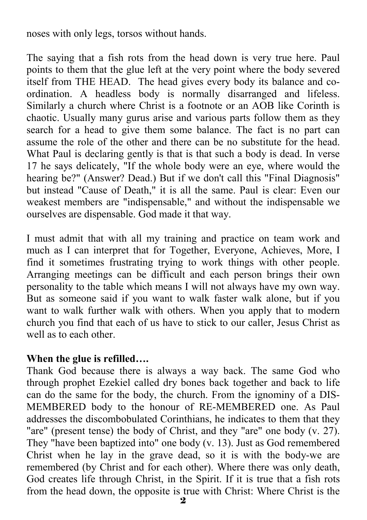noses with only legs, torsos without hands.

The saying that a fish rots from the head down is very true here. Paul points to them that the glue left at the very point where the body severed itself from THE HEAD. The head gives every body its balance and coordination. A headless body is normally disarranged and lifeless. Similarly a church where Christ is a footnote or an AOB like Corinth is chaotic. Usually many gurus arise and various parts follow them as they search for a head to give them some balance. The fact is no part can assume the role of the other and there can be no substitute for the head. What Paul is declaring gently is that is that such a body is dead. In verse 17 he says delicately, "If the whole body were an eye, where would the hearing be?" (Answer? Dead.) But if we don't call this "Final Diagnosis" but instead "Cause of Death," it is all the same. Paul is clear: Even our weakest members are "indispensable," and without the indispensable we ourselves are dispensable. God made it that way.

I must admit that with all my training and practice on team work and much as I can interpret that for Together, Everyone, Achieves, More, I find it sometimes frustrating trying to work things with other people. Arranging meetings can be difficult and each person brings their own personality to the table which means I will not always have my own way. But as someone said if you want to walk faster walk alone, but if you want to walk further walk with others. When you apply that to modern church you find that each of us have to stick to our caller, Jesus Christ as well as to each other.

#### **When the glue is refilled….**

Thank God because there is always a way back. The same God who through prophet Ezekiel called dry bones back together and back to life can do the same for the body, the church. From the ignominy of a DIS-MEMBERED body to the honour of RE-MEMBERED one. As Paul addresses the discombobulated Corinthians, he indicates to them that they "are" (present tense) the body of Christ, and they "are" one body (v. 27). They "have been baptized into" one body (v. 13). Just as God remembered Christ when he lay in the grave dead, so it is with the body-we are remembered (by Christ and for each other). Where there was only death, God creates life through Christ, in the Spirit. If it is true that a fish rots from the head down, the opposite is true with Christ: Where Christ is the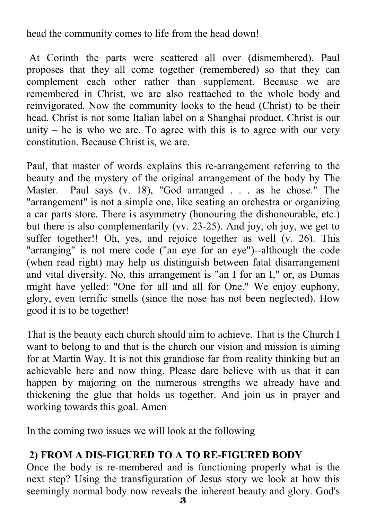head the community comes to life from the head down!

 At Corinth the parts were scattered all over (dismembered). Paul proposes that they all come together (remembered) so that they can complement each other rather than supplement. Because we are remembered in Christ, we are also reattached to the whole body and reinvigorated. Now the community looks to the head (Christ) to be their head. Christ is not some Italian label on a Shanghai product. Christ is our unity  $-$  he is who we are. To agree with this is to agree with our very constitution. Because Christ is, we are.

Paul, that master of words explains this re-arrangement referring to the beauty and the mystery of the original arrangement of the body by The Master. Paul says (v. 18), "God arranged . . . as he chose." The "arrangement" is not a simple one, like seating an orchestra or organizing a car parts store. There is asymmetry (honouring the dishonourable, etc.) but there is also complementarily (vv. 23-25). And joy, oh joy, we get to suffer together!! Oh, yes, and rejoice together as well (v. 26). This "arranging" is not mere code ("an eye for an eye")--although the code (when read right) may help us distinguish between fatal disarrangement and vital diversity. No, this arrangement is "an I for an I," or, as Dumas might have yelled: "One for all and all for One." We enjoy euphony, glory, even terrific smells (since the nose has not been neglected). How good it is to be together!

That is the beauty each church should aim to achieve. That is the Church I want to belong to and that is the church our vision and mission is aiming for at Martin Way. It is not this grandiose far from reality thinking but an achievable here and now thing. Please dare believe with us that it can happen by majoring on the numerous strengths we already have and thickening the glue that holds us together. And join us in prayer and working towards this goal. Amen

In the coming two issues we will look at the following

#### **2) FROM A DIS-FIGURED TO A TO RE-FIGURED BODY**

Once the body is re-membered and is functioning properly what is the next step? Using the transfiguration of Jesus story we look at how this seemingly normal body now reveals the inherent beauty and glory. God's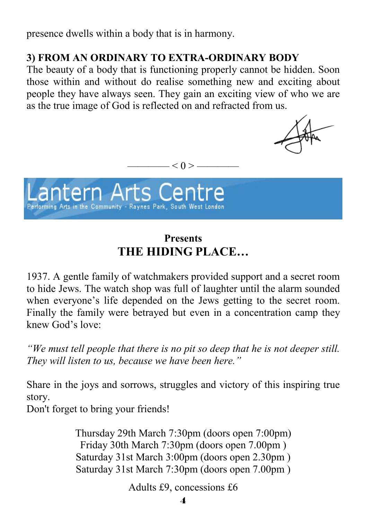presence dwells within a body that is in harmony.

#### **3) FROM AN ORDINARY TO EXTRA-ORDINARY BODY**

The beauty of a body that is functioning properly cannot be hidden. Soon those within and without do realise something new and exciting about people they have always seen. They gain an exciting view of who we are as the true image of God is reflected on and refracted from us.



 $- < 0 > -$ 

## **Presents THE HIDING PLACE…**

1937. A gentle family of watchmakers provided support and a secret room to hide Jews. The watch shop was full of laughter until the alarm sounded when everyone's life depended on the Jews getting to the secret room. Finally the family were betrayed but even in a concentration camp they knew God's love:

*"We must tell people that there is no pit so deep that he is not deeper still. They will listen to us, because we have been here."* 

Share in the joys and sorrows, struggles and victory of this inspiring true story.

Don't forget to bring your friends!

Thursday 29th March 7:30pm (doors open 7:00pm) Friday 30th March 7:30pm (doors open 7.00pm ) Saturday 31st March 3:00pm (doors open 2.30pm ) Saturday 31st March 7:30pm (doors open 7.00pm )

Adults £9, concessions £6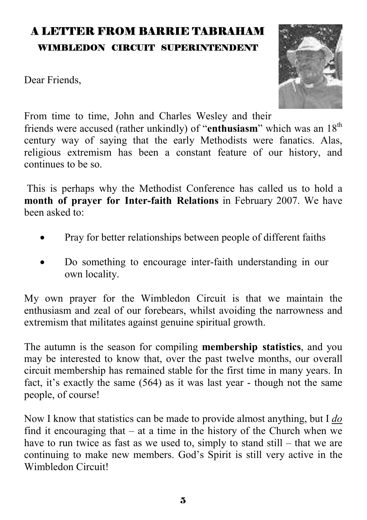## A LETTER FROM BARRIE TABRAHAM WIMBLEDON CIRCUIT SUPERINTENDENT

Dear Friends,



From time to time, John and Charles Wesley and their friends were accused (rather unkindly) of "**enthusiasm**" which was an 18th century way of saying that the early Methodists were fanatics. Alas, religious extremism has been a constant feature of our history, and continues to be so.

 This is perhaps why the Methodist Conference has called us to hold a **month of prayer for Inter-faith Relations** in February 2007. We have been asked to:

- Pray for better relationships between people of different faiths
- Do something to encourage inter-faith understanding in our own locality.

My own prayer for the Wimbledon Circuit is that we maintain the enthusiasm and zeal of our forebears, whilst avoiding the narrowness and extremism that militates against genuine spiritual growth.

The autumn is the season for compiling **membership statistics**, and you may be interested to know that, over the past twelve months, our overall circuit membership has remained stable for the first time in many years. In fact, it's exactly the same (564) as it was last year - though not the same people, of course!

Now I know that statistics can be made to provide almost anything, but I *do* find it encouraging that – at a time in the history of the Church when we have to run twice as fast as we used to, simply to stand still – that we are continuing to make new members. God's Spirit is still very active in the Wimbledon Circuit!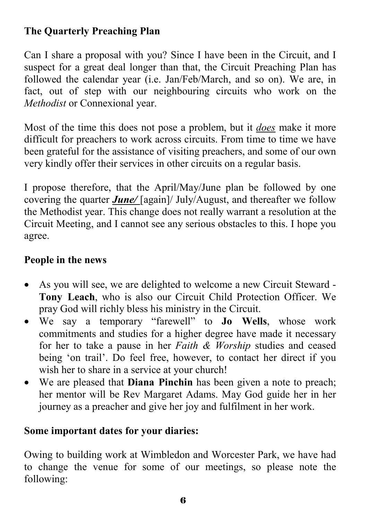#### **The Quarterly Preaching Plan**

Can I share a proposal with you? Since I have been in the Circuit, and I suspect for a great deal longer than that, the Circuit Preaching Plan has followed the calendar year (i.e. Jan/Feb/March, and so on). We are, in fact, out of step with our neighbouring circuits who work on the *Methodist* or Connexional year.

Most of the time this does not pose a problem, but it *does* make it more difficult for preachers to work across circuits. From time to time we have been grateful for the assistance of visiting preachers, and some of our own very kindly offer their services in other circuits on a regular basis.

I propose therefore, that the April/May/June plan be followed by one covering the quarter *June/* [again]/ July/August, and thereafter we follow the Methodist year. This change does not really warrant a resolution at the Circuit Meeting, and I cannot see any serious obstacles to this. I hope you agree.

#### **People in the news**

- As you will see, we are delighted to welcome a new Circuit Steward **Tony Leach**, who is also our Circuit Child Protection Officer. We pray God will richly bless his ministry in the Circuit.
- We say a temporary "farewell" to **Jo Wells**, whose work commitments and studies for a higher degree have made it necessary for her to take a pause in her *Faith & Worship* studies and ceased being 'on trail'. Do feel free, however, to contact her direct if you wish her to share in a service at your church!
- We are pleased that **Diana Pinchin** has been given a note to preach; her mentor will be Rev Margaret Adams. May God guide her in her journey as a preacher and give her joy and fulfilment in her work.

#### **Some important dates for your diaries:**

Owing to building work at Wimbledon and Worcester Park, we have had to change the venue for some of our meetings, so please note the following: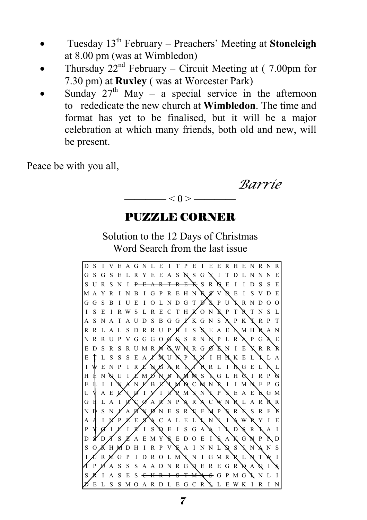- Tuesday 13th February Preachers' Meeting at **Stoneleigh** at 8.00 pm (was at Wimbledon)
- Thursday  $22<sup>nd</sup>$  February Circuit Meeting at (7.00pm for 7.30 pm) at **Ruxley** ( was at Worcester Park)
- Sunday  $27<sup>th</sup>$  May a special service in the afternoon to rededicate the new church at **Wimbledon**. The time and format has yet to be finalised, but it will be a major celebration at which many friends, both old and new, will be present.

Peace be with you all,

 *Barrie*   $< 0$ 

## PUZZLE CORNER

Solution to the 12 Days of Christmas Word Search from the last issue

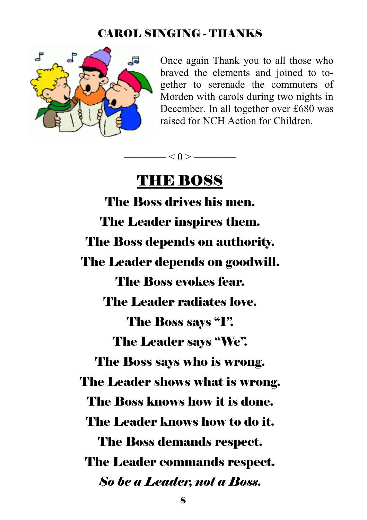#### CAROL SINGING - THANKS



Once again Thank you to all those who braved the elements and joined to together to serenade the commuters of Morden with carols during two nights in December. In all together over £680 was raised for NCH Action for Children.



## THE BOSS

The Boss drives his men. The Leader inspires them. The Boss depends on authority. The Leader depends on goodwill. The Boss evokes fear. The Leader radiates love. The Boss says "I". The Leader says "We". The Boss says who is wrong. The Leader shows what is wrong. The Boss knows how it is done. The Leader knows how to do it. The Boss demands respect. The Leader commands respect. *So be a Leader, not a Boss.*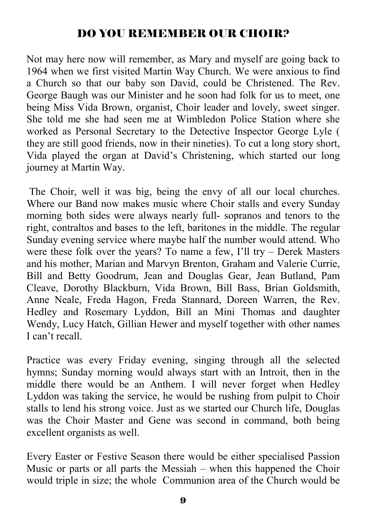## DO YOU REMEMBER OUR CHOIR?

Not may here now will remember, as Mary and myself are going back to 1964 when we first visited Martin Way Church. We were anxious to find a Church so that our baby son David, could be Christened. The Rev. George Baugh was our Minister and he soon had folk for us to meet, one being Miss Vida Brown, organist, Choir leader and lovely, sweet singer. She told me she had seen me at Wimbledon Police Station where she worked as Personal Secretary to the Detective Inspector George Lyle ( they are still good friends, now in their nineties). To cut a long story short, Vida played the organ at David's Christening, which started our long journey at Martin Way.

 The Choir, well it was big, being the envy of all our local churches. Where our Band now makes music where Choir stalls and every Sunday morning both sides were always nearly full- sopranos and tenors to the right, contraltos and bases to the left, baritones in the middle. The regular Sunday evening service where maybe half the number would attend. Who were these folk over the years? To name a few, I'll try – Derek Masters and his mother, Marian and Marvyn Brenton, Graham and Valerie Currie, Bill and Betty Goodrum, Jean and Douglas Gear, Jean Butland, Pam Cleave, Dorothy Blackburn, Vida Brown, Bill Bass, Brian Goldsmith, Anne Neale, Freda Hagon, Freda Stannard, Doreen Warren, the Rev. Hedley and Rosemary Lyddon, Bill an Mini Thomas and daughter Wendy, Lucy Hatch, Gillian Hewer and myself together with other names I can't recall.

Practice was every Friday evening, singing through all the selected hymns; Sunday morning would always start with an Introit, then in the middle there would be an Anthem. I will never forget when Hedley Lyddon was taking the service, he would be rushing from pulpit to Choir stalls to lend his strong voice. Just as we started our Church life, Douglas was the Choir Master and Gene was second in command, both being excellent organists as well.

Every Easter or Festive Season there would be either specialised Passion Music or parts or all parts the Messiah – when this happened the Choir would triple in size; the whole Communion area of the Church would be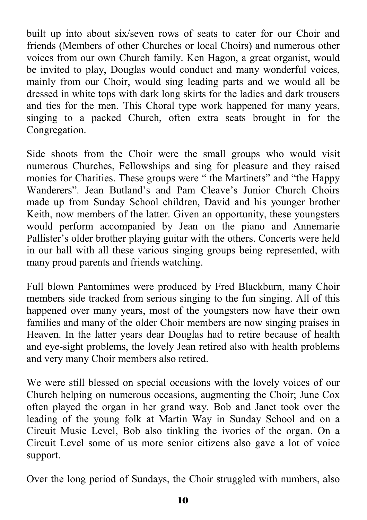built up into about six/seven rows of seats to cater for our Choir and friends (Members of other Churches or local Choirs) and numerous other voices from our own Church family. Ken Hagon, a great organist, would be invited to play, Douglas would conduct and many wonderful voices, mainly from our Choir, would sing leading parts and we would all be dressed in white tops with dark long skirts for the ladies and dark trousers and ties for the men. This Choral type work happened for many years, singing to a packed Church, often extra seats brought in for the Congregation.

Side shoots from the Choir were the small groups who would visit numerous Churches, Fellowships and sing for pleasure and they raised monies for Charities. These groups were " the Martinets" and "the Happy Wanderers". Jean Butland's and Pam Cleave's Junior Church Choirs made up from Sunday School children, David and his younger brother Keith, now members of the latter. Given an opportunity, these youngsters would perform accompanied by Jean on the piano and Annemarie Pallister's older brother playing guitar with the others. Concerts were held in our hall with all these various singing groups being represented, with many proud parents and friends watching.

Full blown Pantomimes were produced by Fred Blackburn, many Choir members side tracked from serious singing to the fun singing. All of this happened over many years, most of the youngsters now have their own families and many of the older Choir members are now singing praises in Heaven. In the latter years dear Douglas had to retire because of health and eye-sight problems, the lovely Jean retired also with health problems and very many Choir members also retired.

We were still blessed on special occasions with the lovely voices of our Church helping on numerous occasions, augmenting the Choir; June Cox often played the organ in her grand way. Bob and Janet took over the leading of the young folk at Martin Way in Sunday School and on a Circuit Music Level, Bob also tinkling the ivories of the organ. On a Circuit Level some of us more senior citizens also gave a lot of voice support.

Over the long period of Sundays, the Choir struggled with numbers, also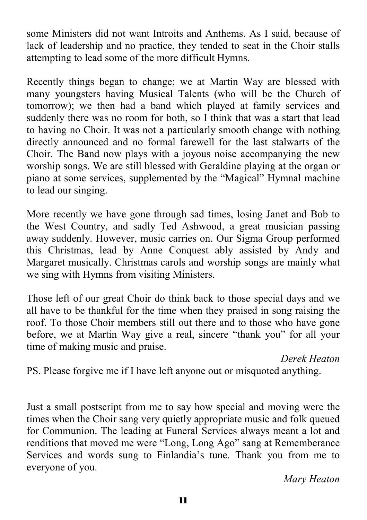some Ministers did not want Introits and Anthems. As I said, because of lack of leadership and no practice, they tended to seat in the Choir stalls attempting to lead some of the more difficult Hymns.

Recently things began to change; we at Martin Way are blessed with many youngsters having Musical Talents (who will be the Church of tomorrow); we then had a band which played at family services and suddenly there was no room for both, so I think that was a start that lead to having no Choir. It was not a particularly smooth change with nothing directly announced and no formal farewell for the last stalwarts of the Choir. The Band now plays with a joyous noise accompanying the new worship songs. We are still blessed with Geraldine playing at the organ or piano at some services, supplemented by the "Magical" Hymnal machine to lead our singing.

More recently we have gone through sad times, losing Janet and Bob to the West Country, and sadly Ted Ashwood, a great musician passing away suddenly. However, music carries on. Our Sigma Group performed this Christmas, lead by Anne Conquest ably assisted by Andy and Margaret musically. Christmas carols and worship songs are mainly what we sing with Hymns from visiting Ministers.

Those left of our great Choir do think back to those special days and we all have to be thankful for the time when they praised in song raising the roof. To those Choir members still out there and to those who have gone before, we at Martin Way give a real, sincere "thank you" for all your time of making music and praise.

*Derek Heaton*

PS. Please forgive me if I have left anyone out or misquoted anything.

Just a small postscript from me to say how special and moving were the times when the Choir sang very quietly appropriate music and folk queued for Communion. The leading at Funeral Services always meant a lot and renditions that moved me were "Long, Long Ago" sang at Rememberance Services and words sung to Finlandia's tune. Thank you from me to everyone of you.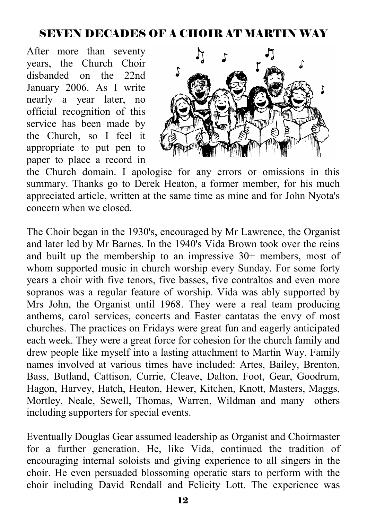#### SEVEN DECADES OF A CHOIR AT MARTIN WAY

After more than seventy years, the Church Choir disbanded on the 22nd January 2006. As I write nearly a year later, no official recognition of this service has been made by the Church, so I feel it appropriate to put pen to paper to place a record in



the Church domain. I apologise for any errors or omissions in this summary. Thanks go to Derek Heaton, a former member, for his much appreciated article, written at the same time as mine and for John Nyota's concern when we closed.

The Choir began in the 1930's, encouraged by Mr Lawrence, the Organist and later led by Mr Barnes. In the 1940's Vida Brown took over the reins and built up the membership to an impressive 30+ members, most of whom supported music in church worship every Sunday. For some forty years a choir with five tenors, five basses, five contraltos and even more sopranos was a regular feature of worship. Vida was ably supported by Mrs John, the Organist until 1968. They were a real team producing anthems, carol services, concerts and Easter cantatas the envy of most churches. The practices on Fridays were great fun and eagerly anticipated each week. They were a great force for cohesion for the church family and drew people like myself into a lasting attachment to Martin Way. Family names involved at various times have included: Artes, Bailey, Brenton, Bass, Butland, Cattison, Currie, Cleave, Dalton, Foot, Gear, Goodrum, Hagon, Harvey, Hatch, Heaton, Hewer, Kitchen, Knott, Masters, Maggs, Mortley, Neale, Sewell, Thomas, Warren, Wildman and many others including supporters for special events.

Eventually Douglas Gear assumed leadership as Organist and Choirmaster for a further generation. He, like Vida, continued the tradition of encouraging internal soloists and giving experience to all singers in the choir. He even persuaded blossoming operatic stars to perform with the choir including David Rendall and Felicity Lott. The experience was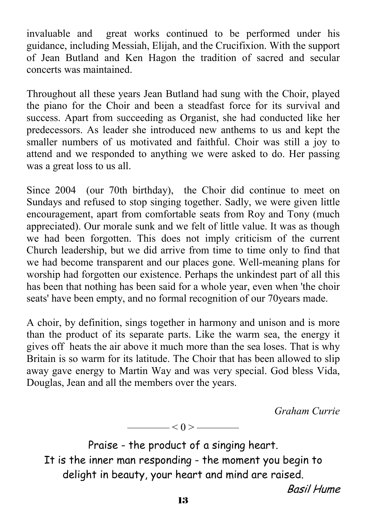invaluable and great works continued to be performed under his guidance, including Messiah, Elijah, and the Crucifixion. With the support of Jean Butland and Ken Hagon the tradition of sacred and secular concerts was maintained.

Throughout all these years Jean Butland had sung with the Choir, played the piano for the Choir and been a steadfast force for its survival and success. Apart from succeeding as Organist, she had conducted like her predecessors. As leader she introduced new anthems to us and kept the smaller numbers of us motivated and faithful. Choir was still a joy to attend and we responded to anything we were asked to do. Her passing was a great loss to us all.

Since 2004 (our 70th birthday), the Choir did continue to meet on Sundays and refused to stop singing together. Sadly, we were given little encouragement, apart from comfortable seats from Roy and Tony (much appreciated). Our morale sunk and we felt of little value. It was as though we had been forgotten. This does not imply criticism of the current Church leadership, but we did arrive from time to time only to find that we had become transparent and our places gone. Well-meaning plans for worship had forgotten our existence. Perhaps the unkindest part of all this has been that nothing has been said for a whole year, even when 'the choir seats' have been empty, and no formal recognition of our 70years made.

A choir, by definition, sings together in harmony and unison and is more than the product of its separate parts. Like the warm sea, the energy it gives off heats the air above it much more than the sea loses. That is why Britain is so warm for its latitude. The Choir that has been allowed to slip away gave energy to Martin Way and was very special. God bless Vida, Douglas, Jean and all the members over the years.

*Graham Currie*

Praise - the product of a singing heart. It is the inner man responding - the moment you begin to delight in beauty, your heart and mind are raised.

 $\longrightarrow$  < 0 >  $\longrightarrow$ 

Basil Hume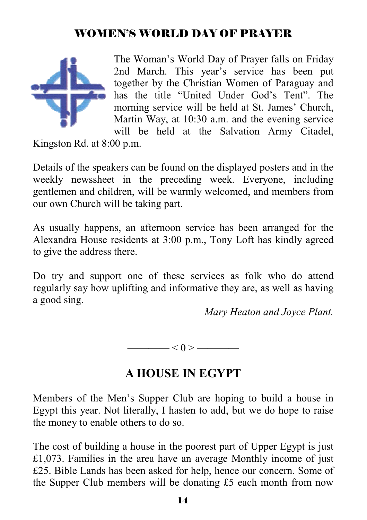### WOMEN'S WORLD DAY OF PRAYER



The Woman's World Day of Prayer falls on Friday 2nd March. This year's service has been put together by the Christian Women of Paraguay and has the title "United Under God's Tent". The morning service will be held at St. James' Church, Martin Way, at 10:30 a.m. and the evening service will be held at the Salvation Army Citadel,

Kingston Rd. at 8:00 p.m.

Details of the speakers can be found on the displayed posters and in the weekly newssheet in the preceding week. Everyone, including gentlemen and children, will be warmly welcomed, and members from our own Church will be taking part.

As usually happens, an afternoon service has been arranged for the Alexandra House residents at 3:00 p.m., Tony Loft has kindly agreed to give the address there.

Do try and support one of these services as folk who do attend regularly say how uplifting and informative they are, as well as having a good sing.

*Mary Heaton and Joyce Plant.* 

—— $<$  0 > ——

## **A HOUSE IN EGYPT**

Members of the Men's Supper Club are hoping to build a house in Egypt this year. Not literally, I hasten to add, but we do hope to raise the money to enable others to do so.

The cost of building a house in the poorest part of Upper Egypt is just £1,073. Families in the area have an average Monthly income of just £25. Bible Lands has been asked for help, hence our concern. Some of the Supper Club members will be donating £5 each month from now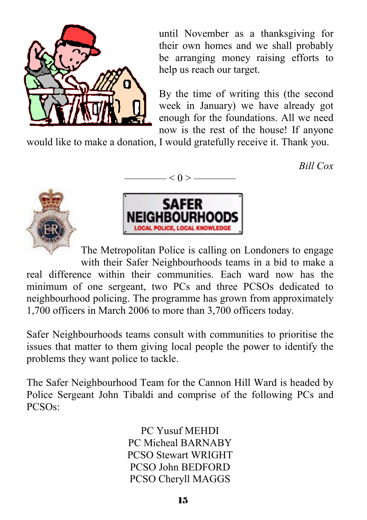

until November as a thanksgiving for their own homes and we shall probably be arranging money raising efforts to help us reach our target.

By the time of writing this (the second week in January) we have already got enough for the foundations. All we need now is the rest of the house! If anyone

would like to make a donation, I would gratefully receive it. Thank you.

*Bill Cox*





 $-$  < 0 >  $-$ 

The Metropolitan Police is calling on Londoners to engage with their Safer Neighbourhoods teams in a bid to make a real difference within their communities. Each ward now has the minimum of one sergeant, two PCs and three PCSOs dedicated to neighbourhood policing. The programme has grown from approximately 1,700 officers in March 2006 to more than 3,700 officers today.

Safer Neighbourhoods teams consult with communities to prioritise the issues that matter to them giving local people the power to identify the problems they want police to tackle.

The Safer Neighbourhood Team for the Cannon Hill Ward is headed by Police Sergeant John Tibaldi and comprise of the following PCs and PCSOs:

> PC Yusuf MEHDI PC Micheal BARNABY PCSO Stewart WRIGHT PCSO John BEDFORD PCSO Cheryll MAGGS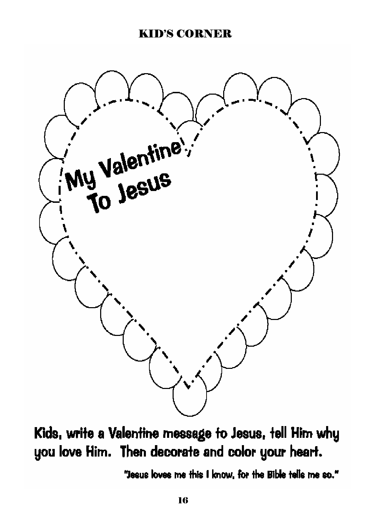#### KID'S CORNER



# Kids, write a Valentine message to Jesus, tell Him why you love Him. Then decorate and color your heart.

"Jesus loves me this I know, for the Bible tells me so."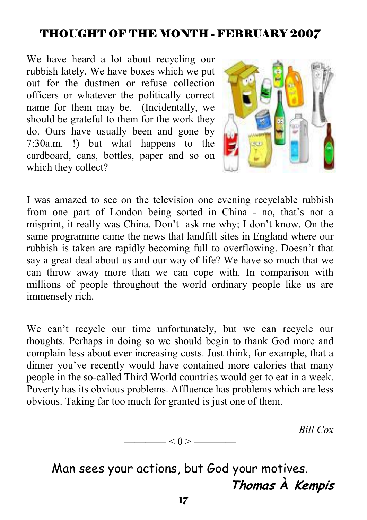## THOUGHT OF THE MONTH - FEBRUARY 2007

We have heard a lot about recycling our rubbish lately. We have boxes which we put out for the dustmen or refuse collection officers or whatever the politically correct name for them may be. (Incidentally, we should be grateful to them for the work they do. Ours have usually been and gone by 7:30a.m. !) but what happens to the cardboard, cans, bottles, paper and so on which they collect?



I was amazed to see on the television one evening recyclable rubbish from one part of London being sorted in China - no, that's not a misprint, it really was China. Don't ask me why; I don't know. On the same programme came the news that landfill sites in England where our rubbish is taken are rapidly becoming full to overflowing. Doesn't that say a great deal about us and our way of life? We have so much that we can throw away more than we can cope with. In comparison with millions of people throughout the world ordinary people like us are immensely rich.

We can't recycle our time unfortunately, but we can recycle our thoughts. Perhaps in doing so we should begin to thank God more and complain less about ever increasing costs. Just think, for example, that a dinner you've recently would have contained more calories that many people in the so-called Third World countries would get to eat in a week. Poverty has its obvious problems. Affluence has problems which are less obvious. Taking far too much for granted is just one of them.

*Bill Cox* 

$$
\overbrace{\hspace{1.5cm}}<0>\overbrace{\hspace{1.5cm}}
$$

Man sees your actions, but God your motives. **Thomas À Kempis**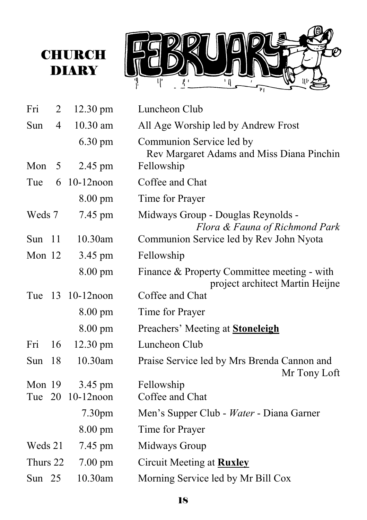

| Fri      | 2              | 12.30 pm           | Luncheon Club                                                                  |
|----------|----------------|--------------------|--------------------------------------------------------------------------------|
| Sun      | $\overline{4}$ | 10.30 am           | All Age Worship led by Andrew Frost                                            |
|          |                | $6.30 \text{ pm}$  | Communion Service led by<br>Rev Margaret Adams and Miss Diana Pinchin          |
| Mon      | 5              | 2.45 pm            | Fellowship                                                                     |
| Tue      | 6              | $10-12$ noon       | Coffee and Chat                                                                |
|          |                | 8.00 pm            | Time for Prayer                                                                |
| Weds 7   |                | 7.45 pm            | Midways Group - Douglas Reynolds -<br>Flora & Fauna of Richmond Park           |
| Sun      | 11             | 10.30am            | Communion Service led by Rev John Nyota                                        |
| Mon 12   |                | 3.45 pm            | Fellowship                                                                     |
|          |                | 8.00 pm            | Finance & Property Committee meeting - with<br>project architect Martin Heijne |
|          |                | Tue 13 10-12 noon  | Coffee and Chat                                                                |
|          |                | 8.00 pm            | Time for Prayer                                                                |
|          |                | $8.00 \text{ pm}$  | Preachers' Meeting at <b>Stoneleigh</b>                                        |
| Fri      | 16             | $12.30 \text{ pm}$ | Luncheon Club                                                                  |
| Sun      | 18             | 10.30am            | Praise Service led by Mrs Brenda Cannon and<br>Mr Tony Loft                    |
| Mon 19   |                | 3.45 pm            | Fellowship                                                                     |
| Tue 20   |                | $10-12$ noon       | Coffee and Chat                                                                |
|          |                | 7.30 <sub>pm</sub> | Men's Supper Club - Water - Diana Garner                                       |
|          |                | 8.00 pm            | Time for Prayer                                                                |
| Weds 21  |                | 7.45 pm            | Midways Group                                                                  |
| Thurs 22 |                | $7.00 \text{ pm}$  | Circuit Meeting at <b>Ruxley</b>                                               |
| Sun $25$ |                | 10.30am            | Morning Service led by Mr Bill Cox                                             |

**CHURCH DIARY**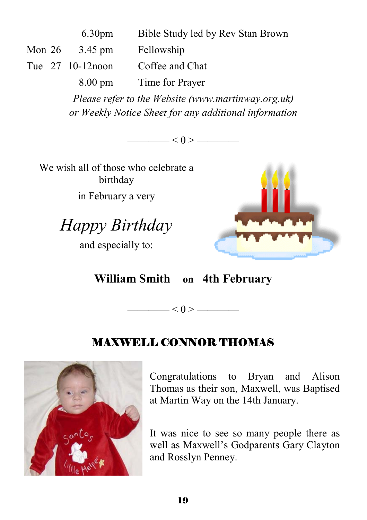|  | 6.30 <sub>pm</sub> | Bible Study led by Rev Stan Brown |
|--|--------------------|-----------------------------------|
|  | Mon $26$ 3.45 pm   | Fellowship                        |
|  | Tue 27 10-12 noon  | Coffee and Chat                   |
|  | $8.00 \text{ pm}$  | Time for Prayer                   |

*Please refer to the Website (www.martinway.org.uk) or Weekly Notice Sheet for any additional information* 

 $\leq 0$  > ——

We wish all of those who celebrate a birthday in February a very

*Happy Birthday* 

and especially to:



**William Smith on 4th February**

 $\longrightarrow$   $<$  0 >  $\longrightarrow$ 

#### MAXWELL CONNOR THOMAS



Congratulations to Bryan and Alison Thomas as their son, Maxwell, was Baptised at Martin Way on the 14th January.

It was nice to see so many people there as well as Maxwell's Godparents Gary Clayton and Rosslyn Penney.